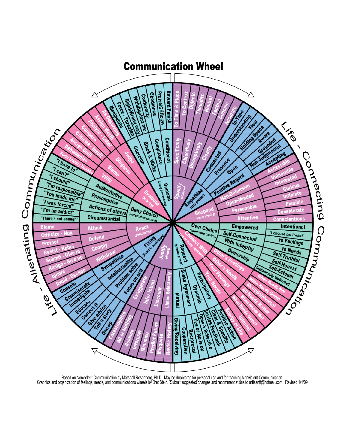

Based on Nonviolent Communication by Marshall Rosenberg, Ph.D. May be duplicated for personal use and for teaching Nonviolent Communication.<br>Graphics and organization of feelings, needs, and communications wheels by Bret S